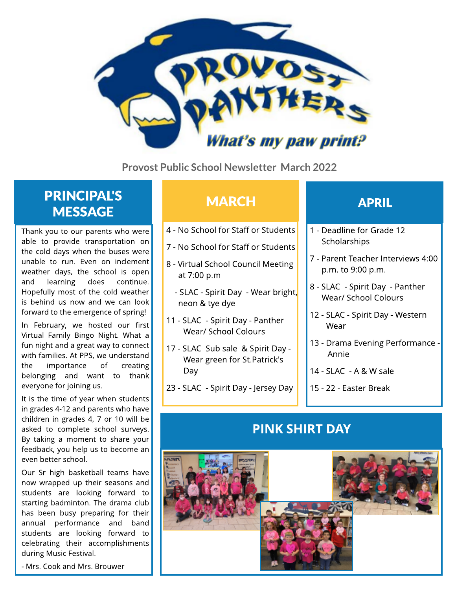

Provost Public School Newsletter March 2022

## **PRINCIPAL'S MESSAGE**

Thank you to our parents who were able to provide transportation on the cold days when the buses were unable to run. Even on inclement weather days, the school is open and learning does continue. Hopefully most of the cold weather is behind us now and we can look forward to the emergence of spring!

In February, we hosted our first Virtual Family Bingo Night. What a fun night and a great way to connect with families. At PPS, we understand the importance of creating belonging and want to thank everyone for joining us.

It is the time of year when students in grades 4-12 and parents who have children in grades 4, 7 or 10 will be asked to complete school surveys. By taking a moment to share your feedback, you help us to become an even better school.

Our Sr high basketball teams have now wrapped up their seasons and students are looking forward to starting badminton. The drama club has been busy preparing for their annual performance and band students are looking forward to celebrating their accomplishments during Music Festival.

- Mrs. Cook and Mrs. Brouwer

## MARCH **APRIL**

- 4 No School for Staff or Students
- 7 No School for Staff or Students
- 8 Virtual School Council Meeting at 7:00 p.m
	- SLAC Spirit Day Wear bright, neon & tye dye
- 11 SLAC Spirit Day Panther Wear/ School Colours
- 17 SLAC Sub sale & Spirit Day Wear green for St.Patrick's Day
- 23 SLAC Spirit Day Jersey Day

- 1 Deadline for Grade 12 **Scholarships**
- 7 Parent Teacher Interviews 4:00 p.m. to 9:00 p.m.
- 8 SLAC Spirit Day Panther Wear/ School Colours
- 12 SLAC Spirit Day Western Wear
- 13 Drama Evening Performance Annie
- 14 SLAC A & W sale
- 15 22 Easter Break

### PINK SHIRT DAY